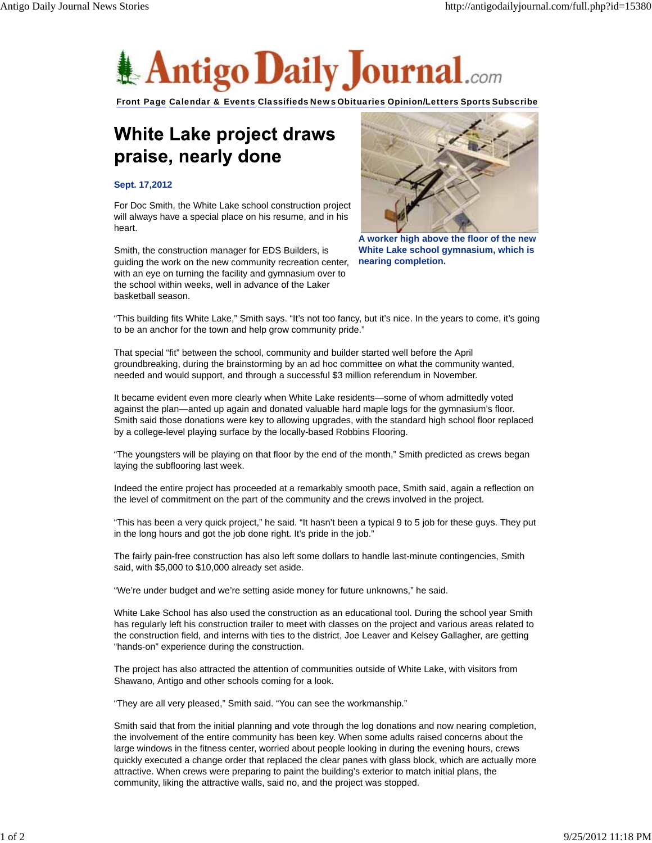

Front Page Calendar & Events Classifieds News Obituaries Opinion/Letters Sports Subscribe

## White Lake project draws praise, nearly done

## **Sept. 17,2012**

For Doc Smith, the White Lake school construction project will always have a special place on his resume, and in his heart.

Smith, the construction manager for EDS Builders, is guiding the work on the new community recreation center, with an eye on turning the facility and gymnasium over to the school within weeks, well in advance of the Laker basketball season.



**A worker high above the floor of the new White Lake school gymnasium, which is nearing completion.**

"This building fits White Lake," Smith says. "It's not too fancy, but it's nice. In the years to come, it's going to be an anchor for the town and help grow community pride."

That special "fit" between the school, community and builder started well before the April groundbreaking, during the brainstorming by an ad hoc committee on what the community wanted, needed and would support, and through a successful \$3 million referendum in November.

It became evident even more clearly when White Lake residents—some of whom admittedly voted against the plan—anted up again and donated valuable hard maple logs for the gymnasium's floor. Smith said those donations were key to allowing upgrades, with the standard high school floor replaced by a college-level playing surface by the locally-based Robbins Flooring.

"The youngsters will be playing on that floor by the end of the month," Smith predicted as crews began laying the subflooring last week.

Indeed the entire project has proceeded at a remarkably smooth pace, Smith said, again a reflection on the level of commitment on the part of the community and the crews involved in the project.

"This has been a very quick project," he said. "It hasn't been a typical 9 to 5 job for these guys. They put in the long hours and got the job done right. It's pride in the job."

The fairly pain-free construction has also left some dollars to handle last-minute contingencies, Smith said, with \$5,000 to \$10,000 already set aside.

"We're under budget and we're setting aside money for future unknowns," he said.

White Lake School has also used the construction as an educational tool. During the school year Smith has regularly left his construction trailer to meet with classes on the project and various areas related to the construction field, and interns with ties to the district, Joe Leaver and Kelsey Gallagher, are getting "hands-on" experience during the construction.

The project has also attracted the attention of communities outside of White Lake, with visitors from Shawano, Antigo and other schools coming for a look.

"They are all very pleased," Smith said. "You can see the workmanship."

Smith said that from the initial planning and vote through the log donations and now nearing completion, the involvement of the entire community has been key. When some adults raised concerns about the large windows in the fitness center, worried about people looking in during the evening hours, crews quickly executed a change order that replaced the clear panes with glass block, which are actually more attractive. When crews were preparing to paint the building's exterior to match initial plans, the community, liking the attractive walls, said no, and the project was stopped.